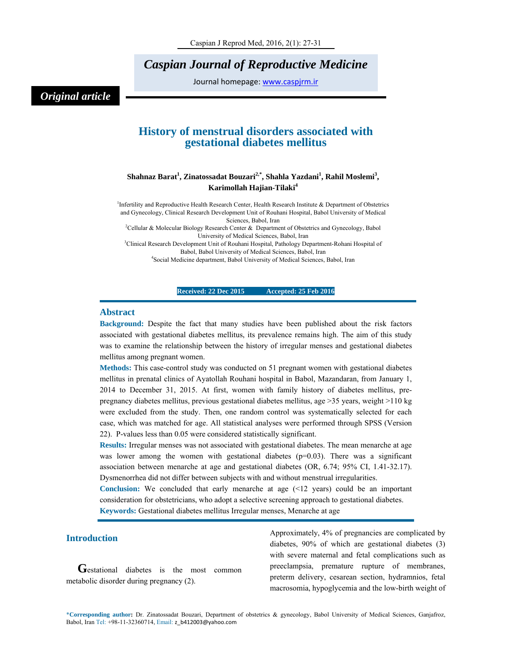# *Caspian Journal of Reproductive Medicine*

Journal homepage: www.caspjrm.ir

## *Original article*

### **History of menstrual disorders associated with gestational diabetes mellitus**

#### $\boldsymbol{\mathrm{Shahnaz\ Barat}}^1$ , Zinatossadat Bouzari $^{2, *}$ , Shahla Yazdani $^1$ , Rahil Moslemi $^3$ , **Karimollah Hajian-Tilaki4**

<sup>1</sup>Infertility and Reproductive Health Research Center, Health Research Institute & Department of Obstetrics and Gynecology, Clinical Research Development Unit of Rouhani Hospital, Babol University of Medical

Sciences, Babol, Iran<br><sup>2</sup>Cellular & Molecular Biology Research Center & Department of Obstetrics and Gynecology, Babol

University of Medical Sciences, Babol, Iran<br><sup>3</sup>Clinical Research Development Unit of Rouhani Hospital, Pathology Department-Rohani Hospital of Babol, Babol University of Medical Sciences, Babol, Iran 4

<sup>4</sup>Social Medicine department, Babol University of Medical Sciences, Babol, Iran

#### **Received: 22 Dec 2015 Accepted: 25 Feb 2016**

#### **Abstract**

**Background:** Despite the fact that many studies have been published about the risk factors associated with gestational diabetes mellitus, its prevalence remains high. The aim of this study was to examine the relationship between the history of irregular menses and gestational diabetes mellitus among pregnant women.

**Methods:** This case-control study was conducted on 51 pregnant women with gestational diabetes mellitus in prenatal clinics of Ayatollah Rouhani hospital in Babol, Mazandaran, from January 1, 2014 to December 31, 2015. At first, women with family history of diabetes mellitus, prepregnancy diabetes mellitus, previous gestational diabetes mellitus, age >35 years, weight >110 kg were excluded from the study. Then, one random control was systematically selected for each case, which was matched for age. All statistical analyses were performed through SPSS (Version 22). P-values less than 0.05 were considered statistically significant.

**Results:** Irregular menses was not associated with gestational diabetes. The mean menarche at age was lower among the women with gestational diabetes  $(p=0.03)$ . There was a significant association between menarche at age and gestational diabetes (OR, 6.74; 95% CI, 1.41-32.17). Dysmenorrhea did not differ between subjects with and without menstrual irregularities.

**Conclusion:** We concluded that early menarche at age (<12 years) could be an important consideration for obstetricians, who adopt a selective screening approach to gestational diabetes. **Keywords:** Gestational diabetes mellitus Irregular menses, Menarche at age

#### **Introduction**

Gestational diabetes is the most common metabolic disorder during pregnancy (2).

Approximately, 4% of pregnancies are complicated by diabetes, 90% of which are gestational diabetes (3) with severe maternal and fetal complications such as preeclampsia, premature rupture of membranes, preterm delivery, cesarean section, hydramnios, fetal macrosomia, hypoglycemia and the low-birth weight of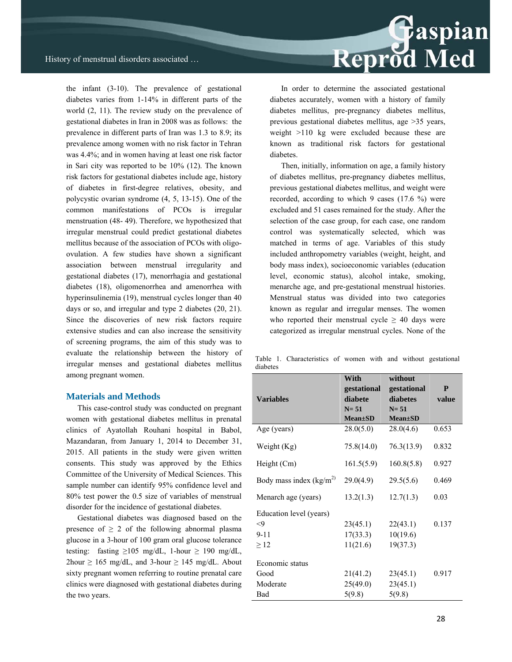Reprod Med

the infant (3-10). The prevalence of gestational diabetes varies from 1-14% in different parts of the world (2, 11). The review study on the prevalence of gestational diabetes in Iran in 2008 was as follows: the prevalence in different parts of Iran was 1.3 to 8.9; its prevalence among women with no risk factor in Tehran was 4.4%; and in women having at least one risk factor in Sari city was reported to be 10% (12). The known risk factors for gestational diabetes include age, history of diabetes in first-degree relatives, obesity, and polycystic ovarian syndrome (4, 5, 13-15). One of the common manifestations of PCOs is irregular menstruation (48- 49). Therefore, we hypothesized that irregular menstrual could predict gestational diabetes mellitus because of the association of PCOs with oligoovulation. A few studies have shown a significant association between menstrual irregularity and gestational diabetes (17), menorrhagia and gestational diabetes (18), oligomenorrhea and amenorrhea with hyperinsulinemia (19), menstrual cycles longer than 40 days or so, and irregular and type 2 diabetes (20, 21). Since the discoveries of new risk factors require extensive studies and can also increase the sensitivity of screening programs, the aim of this study was to evaluate the relationship between the history of irregular menses and gestational diabetes mellitus among pregnant women.

#### **Materials and Methods**

This case-control study was conducted on pregnant women with gestational diabetes mellitus in prenatal clinics of Ayatollah Rouhani hospital in Babol, Mazandaran, from January 1, 2014 to December 31, 2015. All patients in the study were given written consents. This study was approved by the Ethics Committee of the University of Medical Sciences. This sample number can identify 95% confidence level and 80% test power the 0.5 size of variables of menstrual disorder for the incidence of gestational diabetes.

Gestational diabetes was diagnosed based on the presence of  $\geq 2$  of the following abnormal plasma glucose in a 3-hour of 100 gram oral glucose tolerance testing: fasting  $\geq 105$  mg/dL, 1-hour  $\geq 190$  mg/dL,  $2$ hour  $\geq 165$  mg/dL, and 3-hour  $\geq 145$  mg/dL. About sixty pregnant women referring to routine prenatal care clinics were diagnosed with gestational diabetes during the two years.

In order to determine the associated gestational diabetes accurately, women with a history of family diabetes mellitus, pre-pregnancy diabetes mellitus, previous gestational diabetes mellitus, age >35 years, weight >110 kg were excluded because these are known as traditional risk factors for gestational diabetes.

Then, initially, information on age, a family history of diabetes mellitus, pre-pregnancy diabetes mellitus, previous gestational diabetes mellitus, and weight were recorded, according to which 9 cases (17.6 %) were excluded and 51 cases remained for the study. After the selection of the case group, for each case, one random control was systematically selected, which was matched in terms of age. Variables of this study included anthropometry variables (weight, height, and body mass index), socioeconomic variables (education level, economic status), alcohol intake, smoking, menarche age, and pre-gestational menstrual histories. Menstrual status was divided into two categories known as regular and irregular menses. The women who reported their menstrual cycle  $\geq$  40 days were categorized as irregular menstrual cycles. None of the

Table 1. Characteristics of women with and without gestational diabetes

|                           | With          | without       |       |
|---------------------------|---------------|---------------|-------|
|                           | gestational   | gestational   | P     |
| <b>Variables</b>          | diabete       | diabetes      | value |
|                           | $N = 51$      | $N = 51$      |       |
|                           | $Mean \pm SD$ | $Mean \pm SD$ |       |
| Age (years)               | 28.0(5.0)     | 28.0(4.6)     | 0.653 |
| Weight (Kg)               | 75.8(14.0)    | 76.3(13.9)    | 0.832 |
| Height (Cm)               | 161.5(5.9)    | 160.8(5.8)    | 0.927 |
| Body mass index $(kg/m2)$ | 29.0(4.9)     | 29.5(5.6)     | 0.469 |
| Menarch age (years)       | 13.2(1.3)     | 12.7(1.3)     | 0.03  |
| Education level (years)   |               |               |       |
| $\leq$ 9                  | 23(45.1)      | 22(43.1)      | 0.137 |
| $9 - 11$                  | 17(33.3)      | 10(19.6)      |       |
| $\geq$ 12                 | 11(21.6)      | 19(37.3)      |       |
| Economic status           |               |               |       |
| Good                      | 21(41.2)      | 23(45.1)      | 0.917 |
| Moderate                  | 25(49.0)      | 23(45.1)      |       |
| Bad                       | 5(9.8)        | 5(9.8)        |       |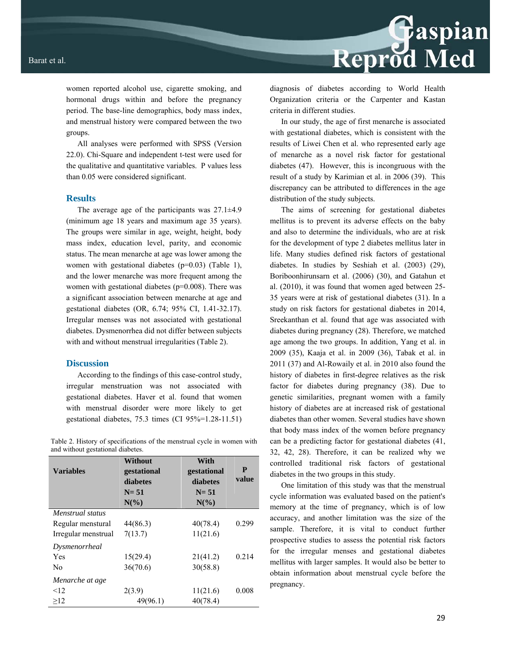women reported alcohol use, cigarette smoking, and hormonal drugs within and before the pregnancy period. The base-line demographics, body mass index, and menstrual history were compared between the two groups.

All analyses were performed with SPSS (Version 22.0). Chi-Square and independent t-test were used for the qualitative and quantitative variables. P values less than 0.05 were considered significant.

#### **Results**

The average age of the participants was  $27.1 \pm 4.9$ (minimum age 18 years and maximum age 35 years). The groups were similar in age, weight, height, body mass index, education level, parity, and economic status. The mean menarche at age was lower among the women with gestational diabetes  $(p=0.03)$  (Table 1), and the lower menarche was more frequent among the women with gestational diabetes (p=0.008). There was a significant association between menarche at age and gestational diabetes (OR, 6.74; 95% CI, 1.41-32.17). Irregular menses was not associated with gestational diabetes. Dysmenorrhea did not differ between subjects with and without menstrual irregularities (Table 2).

#### **Discussion**

According to the findings of this case-control study, irregular menstruation was not associated with gestational diabetes. Haver et al. found that women with menstrual disorder were more likely to get gestational diabetes, 75.3 times (CI 95%=1.28-11.51)

Table 2. History of specifications of the menstrual cycle in women with and without gestational diabetes.

| <b>Variables</b>    | Without<br>gestational<br>diabetes<br>$N = 51$<br>$N\left(\frac{9}{6}\right)$ | With<br>gestational<br>diabetes<br>$N = 51$<br>$N(\%)$ | P<br>value |
|---------------------|-------------------------------------------------------------------------------|--------------------------------------------------------|------------|
| Menstrual status    |                                                                               |                                                        |            |
| Regular menstural   | 44(86.3)                                                                      | 40(78.4)                                               | 0.299      |
| Irregular menstrual | 7(13.7)                                                                       | 11(21.6)                                               |            |
| Dysmenorrheal       |                                                                               |                                                        |            |
| Yes                 | 15(29.4)                                                                      | 21(41.2)                                               | 0.214      |
| N <sub>0</sub>      | 36(70.6)                                                                      | 30(58.8)                                               |            |
| Menarche at age     |                                                                               |                                                        |            |
| $\leq$ 12           | 2(3.9)                                                                        | 11(21.6)                                               | 0.008      |
| >12                 | 49(96.1)                                                                      | 40(78.4)                                               |            |

Reprod Med

diagnosis of diabetes according to World Health Organization criteria or the Carpenter and Kastan criteria in different studies.

In our study, the age of first menarche is associated with gestational diabetes, which is consistent with the results of Liwei Chen et al. who represented early age of menarche as a novel risk factor for gestational diabetes (47). However, this is incongruous with the result of a study by Karimian et al. in 2006 (39). This discrepancy can be attributed to differences in the age distribution of the study subjects.

The aims of screening for gestational diabetes mellitus is to prevent its adverse effects on the baby and also to determine the individuals, who are at risk for the development of type 2 diabetes mellitus later in life. Many studies defined risk factors of gestational diabetes. In studies by Seshiah et al. (2003) (29), Boriboonhirunsarn et al. (2006) (30), and Gatahun et al. (2010), it was found that women aged between 25- 35 years were at risk of gestational diabetes (31). In a study on risk factors for gestational diabetes in 2014, Sreekanthan et al. found that age was associated with diabetes during pregnancy (28). Therefore, we matched age among the two groups. In addition, Yang et al. in 2009 (35), Kaaja et al. in 2009 (36), Tabak et al. in 2011 (37) and Al-Rowaily et al. in 2010 also found the history of diabetes in first-degree relatives as the risk factor for diabetes during pregnancy (38). Due to genetic similarities, pregnant women with a family history of diabetes are at increased risk of gestational diabetes than other women. Several studies have shown that body mass index of the women before pregnancy can be a predicting factor for gestational diabetes (41, 32, 42, 28). Therefore, it can be realized why we controlled traditional risk factors of gestational diabetes in the two groups in this study.

One limitation of this study was that the menstrual cycle information was evaluated based on the patient's memory at the time of pregnancy, which is of low accuracy, and another limitation was the size of the sample. Therefore, it is vital to conduct further prospective studies to assess the potential risk factors for the irregular menses and gestational diabetes mellitus with larger samples. It would also be better to obtain information about menstrual cycle before the pregnancy.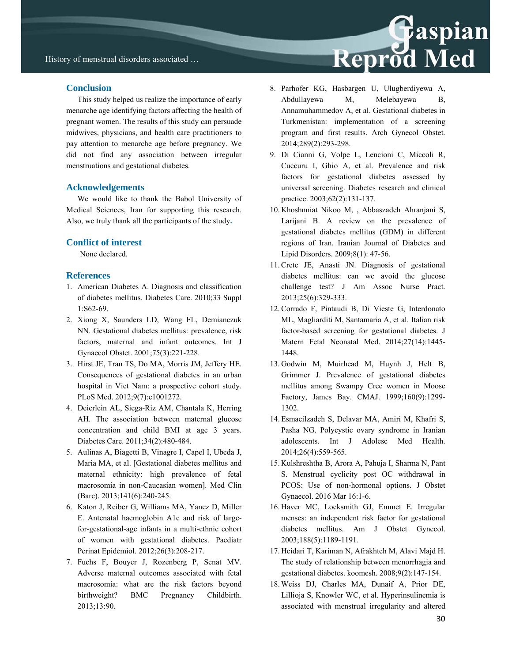#### **Conclusion**

This study helped us realize the importance of early menarche age identifying factors affecting the health of pregnant women. The results of this study can persuade midwives, physicians, and health care practitioners to pay attention to menarche age before pregnancy. We did not find any association between irregular menstruations and gestational diabetes.

#### **Acknowledgements**

We would like to thank the Babol University of Medical Sciences, Iran for supporting this research. Also, we truly thank all the participants of the study**.** 

#### **Conflict of interest**

None declared.

#### **References**

- 1. American Diabetes A. Diagnosis and classification of diabetes mellitus. Diabetes Care. 2010;33 Suppl 1:S62-69.
- 2. Xiong X, Saunders LD, Wang FL, Demianczuk NN. Gestational diabetes mellitus: prevalence, risk factors, maternal and infant outcomes. Int J Gynaecol Obstet. 2001;75(3):221-228.
- 3. Hirst JE, Tran TS, Do MA, Morris JM, Jeffery HE. Consequences of gestational diabetes in an urban hospital in Viet Nam: a prospective cohort study. PLoS Med. 2012;9(7):e1001272.
- 4. Deierlein AL, Siega-Riz AM, Chantala K, Herring AH. The association between maternal glucose concentration and child BMI at age 3 years. Diabetes Care. 2011;34(2):480-484.
- 5. Aulinas A, Biagetti B, Vinagre I, Capel I, Ubeda J, Maria MA, et al. [Gestational diabetes mellitus and maternal ethnicity: high prevalence of fetal macrosomia in non-Caucasian women]. Med Clin (Barc). 2013;141(6):240-245.
- 6. Katon J, Reiber G, Williams MA, Yanez D, Miller E. Antenatal haemoglobin A1c and risk of largefor-gestational-age infants in a multi-ethnic cohort of women with gestational diabetes. Paediatr Perinat Epidemiol. 2012;26(3):208-217.
- 7. Fuchs F, Bouyer J, Rozenberg P, Senat MV. Adverse maternal outcomes associated with fetal macrosomia: what are the risk factors beyond birthweight? BMC Pregnancy Childbirth. 2013;13:90.

8. Parhofer KG, Hasbargen U, Ulugberdiyewa A, Abdullayewa M, Melebayewa B, Annamuhammedov A, et al. Gestational diabetes in Turkmenistan: implementation of a screening program and first results. Arch Gynecol Obstet. 2014;289(2):293-298.

Reprod Med

- 9. Di Cianni G, Volpe L, Lencioni C, Miccoli R, Cuccuru I, Ghio A, et al. Prevalence and risk factors for gestational diabetes assessed by universal screening. Diabetes research and clinical practice. 2003;62(2):131-137.
- 10. Khoshnniat Nikoo M, , Abbaszadeh Ahranjani S, Larijani B. A review on the prevalence of gestational diabetes mellitus (GDM) in different regions of Iran. Iranian Journal of Diabetes and Lipid Disorders. 2009;8(1): 47-56.
- 11. Crete JE, Anasti JN. Diagnosis of gestational diabetes mellitus: can we avoid the glucose challenge test? J Am Assoc Nurse Pract. 2013;25(6):329-333.
- 12. Corrado F, Pintaudi B, Di Vieste G, Interdonato ML, Magliarditi M, Santamaria A, et al. Italian risk factor-based screening for gestational diabetes. J Matern Fetal Neonatal Med. 2014;27(14):1445- 1448.
- 13. Godwin M, Muirhead M, Huynh J, Helt B, Grimmer J. Prevalence of gestational diabetes mellitus among Swampy Cree women in Moose Factory, James Bay. CMAJ. 1999;160(9):1299- 1302.
- 14. Esmaeilzadeh S, Delavar MA, Amiri M, Khafri S, Pasha NG. Polycystic ovary syndrome in Iranian adolescents. Int J Adolesc Med Health. 2014;26(4):559-565.
- 15. Kulshreshtha B, Arora A, Pahuja I, Sharma N, Pant S. Menstrual cyclicity post OC withdrawal in PCOS: Use of non-hormonal options. J Obstet Gynaecol. 2016 Mar 16:1-6.
- 16. Haver MC, Locksmith GJ, Emmet E. Irregular menses: an independent risk factor for gestational diabetes mellitus. Am J Obstet Gynecol. 2003;188(5):1189-1191.
- 17. Heidari T, Kariman N, Afrakhteh M, Alavi Majd H. The study of relationship between menorrhagia and gestational diabetes. koomesh. 2008;9(2):147-154.
- 18. Weiss DJ, Charles MA, Dunaif A, Prior DE, Lillioja S, Knowler WC, et al. Hyperinsulinemia is associated with menstrual irregularity and altered